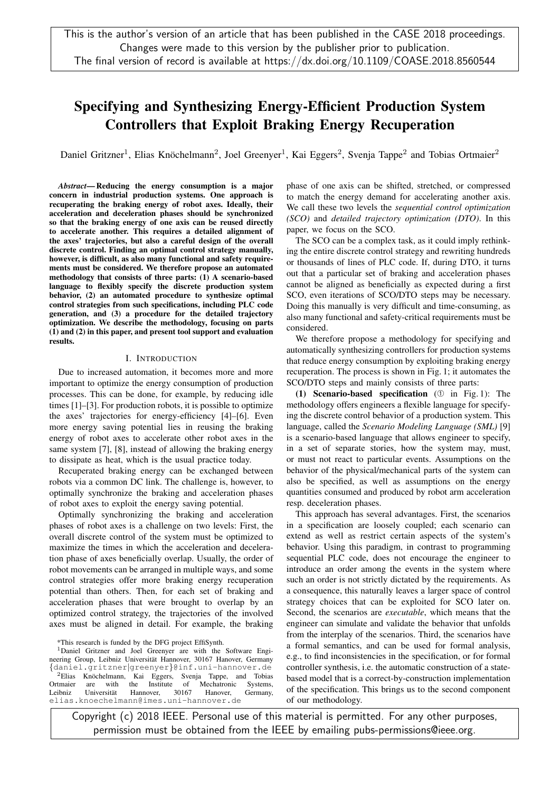# Specifying and Synthesizing Energy-Efficient Production System Controllers that Exploit Braking Energy Recuperation

Daniel Gritzner<sup>1</sup>, Elias Knöchelmann<sup>2</sup>, Joel Greenyer<sup>1</sup>, Kai Eggers<sup>2</sup>, Svenja Tappe<sup>2</sup> and Tobias Ortmaier<sup>2</sup>

*Abstract*— Reducing the energy consumption is a major concern in industrial production systems. One approach is recuperating the braking energy of robot axes. Ideally, their acceleration and deceleration phases should be synchronized so that the braking energy of one axis can be reused directly to accelerate another. This requires a detailed alignment of the axes' trajectories, but also a careful design of the overall discrete control. Finding an optimal control strategy manually, however, is difficult, as also many functional and safety requirements must be considered. We therefore propose an automated methodology that consists of three parts: (1) A scenario-based language to flexibly specify the discrete production system behavior, (2) an automated procedure to synthesize optimal control strategies from such specifications, including PLC code generation, and (3) a procedure for the detailed trajectory optimization. We describe the methodology, focusing on parts (1) and (2) in this paper, and present tool support and evaluation results.

## I. INTRODUCTION

Due to increased automation, it becomes more and more important to optimize the energy consumption of production processes. This can be done, for example, by reducing idle times [1]–[3]. For production robots, it is possible to optimize the axes' trajectories for energy-efficiency [4]–[6]. Even more energy saving potential lies in reusing the braking energy of robot axes to accelerate other robot axes in the same system [7], [8], instead of allowing the braking energy to dissipate as heat, which is the usual practice today.

Recuperated braking energy can be exchanged between robots via a common DC link. The challenge is, however, to optimally synchronize the braking and acceleration phases of robot axes to exploit the energy saving potential.

Optimally synchronizing the braking and acceleration phases of robot axes is a challenge on two levels: First, the overall discrete control of the system must be optimized to maximize the times in which the acceleration and deceleration phase of axes beneficially overlap. Usually, the order of robot movements can be arranged in multiple ways, and some control strategies offer more braking energy recuperation potential than others. Then, for each set of braking and acceleration phases that were brought to overlap by an optimized control strategy, the trajectories of the involved axes must be aligned in detail. For example, the braking

\*This research is funded by the DFG project EffiSynth.

<sup>1</sup>Daniel Gritzner and Joel Greenyer are with the Software Engineering Group, Leibniz Universität Hannover, 30167 Hanover, Germany {daniel.gritzner|greenyer}@inf.uni-hannover.de  ${}^{2}$ Elias Knöchelmann, Kai Eggers, Svenja Tappe, and Tobias trmaier are with the Institute of Mechatronic Systems, Ortmaier are with the Institute of Mechatronic Systems,<br>
Leibniz Universität Hannover. 30167 Hanover. Germany. Leibniz Universität Hannover, 30167 Hanover, Germany, elias.knoechelmann@imes.uni-hannover.de

phase of one axis can be shifted, stretched, or compressed to match the energy demand for accelerating another axis. We call these two levels the *sequential control optimization (SCO)* and *detailed trajectory optimization (DTO)*. In this paper, we focus on the SCO.

The SCO can be a complex task, as it could imply rethinking the entire discrete control strategy and rewriting hundreds or thousands of lines of PLC code. If, during DTO, it turns out that a particular set of braking and acceleration phases cannot be aligned as beneficially as expected during a first SCO, even iterations of SCO/DTO steps may be necessary. Doing this manually is very difficult and time-consuming, as also many functional and safety-critical requirements must be considered.

We therefore propose a methodology for specifying and automatically synthesizing controllers for production systems that reduce energy consumption by exploiting braking energy recuperation. The process is shown in Fig. 1; it automates the SCO/DTO steps and mainly consists of three parts:

(1) Scenario-based specification (➀ in Fig. 1): The methodology offers engineers a flexible language for specifying the discrete control behavior of a production system. This language, called the *Scenario Modeling Language (SML)* [9] is a scenario-based language that allows engineer to specify, in a set of separate stories, how the system may, must, or must not react to particular events. Assumptions on the behavior of the physical/mechanical parts of the system can also be specified, as well as assumptions on the energy quantities consumed and produced by robot arm acceleration resp. deceleration phases.

This approach has several advantages. First, the scenarios in a specification are loosely coupled; each scenario can extend as well as restrict certain aspects of the system's behavior. Using this paradigm, in contrast to programming sequential PLC code, does not encourage the engineer to introduce an order among the events in the system where such an order is not strictly dictated by the requirements. As a consequence, this naturally leaves a larger space of control strategy choices that can be exploited for SCO later on. Second, the scenarios are *executable*, which means that the engineer can simulate and validate the behavior that unfolds from the interplay of the scenarios. Third, the scenarios have a formal semantics, and can be used for formal analysis, e.g., to find inconsistencies in the specification, or for formal controller synthesis, i.e. the automatic construction of a statebased model that is a correct-by-construction implementation of the specification. This brings us to the second component of our methodology.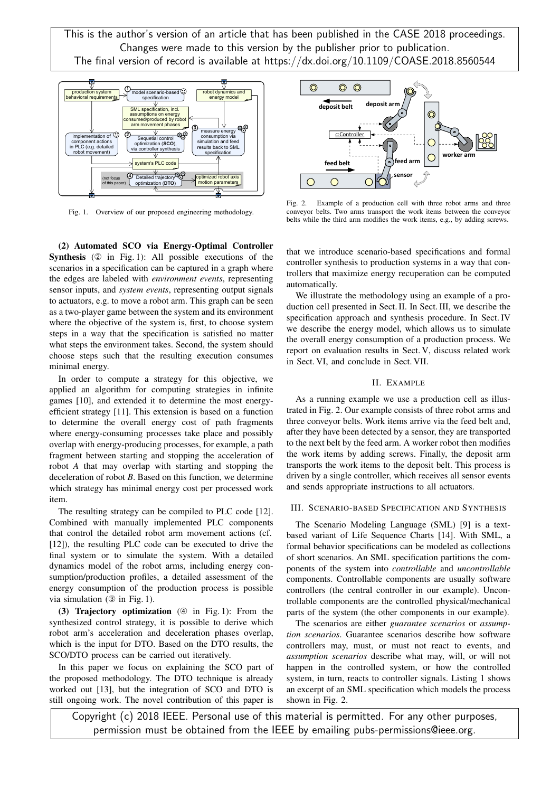

Fig. 1. Overview of our proposed engineering methodology.

(2) Automated SCO via Energy-Optimal Controller Synthesis (2 in Fig. 1): All possible executions of the scenarios in a specification can be captured in a graph where the edges are labeled with *environment events*, representing sensor inputs, and *system events*, representing output signals to actuators, e.g. to move a robot arm. This graph can be seen as a two-player game between the system and its environment where the objective of the system is, first, to choose system steps in a way that the specification is satisfied no matter what steps the environment takes. Second, the system should choose steps such that the resulting execution consumes minimal energy.

In order to compute a strategy for this objective, we applied an algorithm for computing strategies in infinite games [10], and extended it to determine the most energyefficient strategy [11]. This extension is based on a function to determine the overall energy cost of path fragments where energy-consuming processes take place and possibly overlap with energy-producing processes, for example, a path fragment between starting and stopping the acceleration of robot *A* that may overlap with starting and stopping the deceleration of robot *B*. Based on this function, we determine which strategy has minimal energy cost per processed work item.

The resulting strategy can be compiled to PLC code [12]. Combined with manually implemented PLC components that control the detailed robot arm movement actions (cf. [12]), the resulting PLC code can be executed to drive the final system or to simulate the system. With a detailed dynamics model of the robot arms, including energy consumption/production profiles, a detailed assessment of the energy consumption of the production process is possible via simulation  $(③$  in Fig. 1).

(3) Trajectory optimization  $(\mathcal{Q}$  in Fig. 1): From the synthesized control strategy, it is possible to derive which robot arm's acceleration and deceleration phases overlap, which is the input for DTO. Based on the DTO results, the SCO/DTO process can be carried out iteratively.

In this paper we focus on explaining the SCO part of the proposed methodology. The DTO technique is already worked out [13], but the integration of SCO and DTO is still ongoing work. The novel contribution of this paper is



Fig. 2. Example of a production cell with three robot arms and three conveyor belts. Two arms transport the work items between the conveyor belts while the third arm modifies the work items, e.g., by adding screws.

that we introduce scenario-based specifications and formal controller synthesis to production systems in a way that controllers that maximize energy recuperation can be computed automatically.

We illustrate the methodology using an example of a production cell presented in Sect. II. In Sect. III, we describe the specification approach and synthesis procedure. In Sect. IV we describe the energy model, which allows us to simulate the overall energy consumption of a production process. We report on evaluation results in Sect. V, discuss related work in Sect. VI, and conclude in Sect. VII.

#### II. EXAMPLE

As a running example we use a production cell as illustrated in Fig. 2. Our example consists of three robot arms and three conveyor belts. Work items arrive via the feed belt and, after they have been detected by a sensor, they are transported to the next belt by the feed arm. A worker robot then modifies the work items by adding screws. Finally, the deposit arm transports the work items to the deposit belt. This process is driven by a single controller, which receives all sensor events and sends appropriate instructions to all actuators.

#### III. SCENARIO-BASED SPECIFICATION AND SYNTHESIS

The Scenario Modeling Language (SML) [9] is a textbased variant of Life Sequence Charts [14]. With SML, a formal behavior specifications can be modeled as collections of short scenarios. An SML specification partitions the components of the system into *controllable* and *uncontrollable* components. Controllable components are usually software controllers (the central controller in our example). Uncontrollable components are the controlled physical/mechanical parts of the system (the other components in our example).

The scenarios are either *guarantee scenarios* or *assumption scenarios*. Guarantee scenarios describe how software controllers may, must, or must not react to events, and *assumption scenarios* describe what may, will, or will not happen in the controlled system, or how the controlled system, in turn, reacts to controller signals. Listing 1 shows an excerpt of an SML specification which models the process shown in Fig. 2.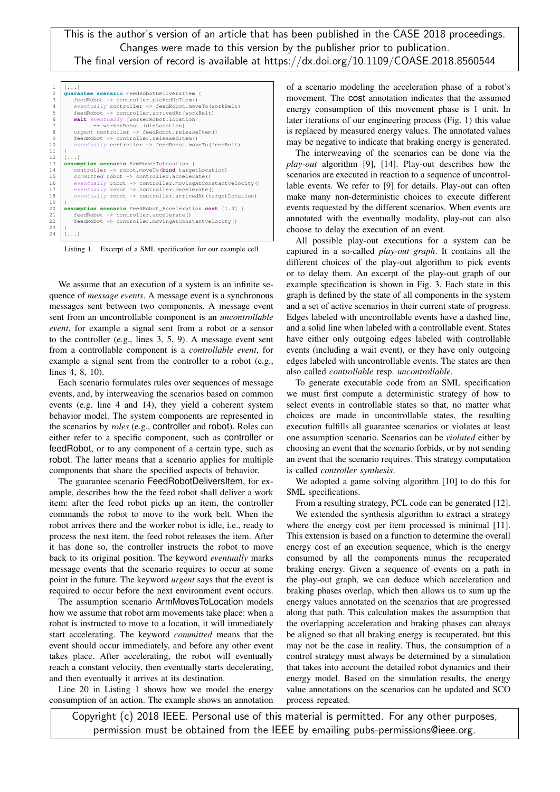| $\mathbf{1}$    | $[\ldots]$                                                                |  |  |  |  |  |
|-----------------|---------------------------------------------------------------------------|--|--|--|--|--|
| $\overline{c}$  | quarantee scenario FeedRobotDeliversItem {                                |  |  |  |  |  |
| 3               | feedRobot -> controller.pickedUpItem()                                    |  |  |  |  |  |
| $\overline{a}$  | eventually controller -> feedRobot.moveTo(workBelt)                       |  |  |  |  |  |
| 5               | feedRobot -> controller.arrivedAt(workBelt)                               |  |  |  |  |  |
| 6               | wait eventually [workerRobot.location                                     |  |  |  |  |  |
| 7               | == workerRobot.idleLocationl                                              |  |  |  |  |  |
| 8               | urgent controller -> feedRobot.releaseItem()                              |  |  |  |  |  |
| 9               | feedRobot -> controller.releasedItem()                                    |  |  |  |  |  |
| 10              | eventually controller -> feedRobot.moveTo(feedBelt)                       |  |  |  |  |  |
| 11              |                                                                           |  |  |  |  |  |
| 12              | $[\ldots]$                                                                |  |  |  |  |  |
| 13              | assumption scenario ArmMovesToLocation {                                  |  |  |  |  |  |
| 14              | controller -> robot.moveTo (bind targetLocation)                          |  |  |  |  |  |
| 15 <sub>1</sub> | committed robot -> controller.accelerate()                                |  |  |  |  |  |
| 16              | $eventually$ robot $\rightarrow$ controller. movingAtConstantVelocity()   |  |  |  |  |  |
| 17              | $eventually robot \rightarrow controller.decelerate()$                    |  |  |  |  |  |
| 18              | $eventually$ robot $\rightarrow$ controller. arrived At (target Location) |  |  |  |  |  |
| 19              |                                                                           |  |  |  |  |  |
| 20              | assumption scenario FeedRobot_Acceleration cost [1.0] {                   |  |  |  |  |  |
| 21              | feedRobot -> controller.accelerate()                                      |  |  |  |  |  |
| 22              | feedRobot -> controller.movingAtConstantVelocity()                        |  |  |  |  |  |
| 23              | $\mathcal{E}$                                                             |  |  |  |  |  |
| 24              | []                                                                        |  |  |  |  |  |
|                 |                                                                           |  |  |  |  |  |

Listing 1. Excerpt of a SML specification for our example cell

We assume that an execution of a system is an infinite sequence of *message events*. A message event is a synchronous messages sent between two components. A message event sent from an uncontrollable component is an *uncontrollable event*, for example a signal sent from a robot or a sensor to the controller (e.g., lines 3, 5, 9). A message event sent from a controllable component is a *controllable event*, for example a signal sent from the controller to a robot (e.g., lines 4, 8, 10).

Each scenario formulates rules over sequences of message events, and, by interweaving the scenarios based on common events (e.g. line 4 and 14), they yield a coherent system behavior model. The system components are represented in the scenarios by *roles* (e.g., controller and robot). Roles can either refer to a specific component, such as controller or feedRobot, or to any component of a certain type, such as robot. The latter means that a scenario applies for multiple components that share the specified aspects of behavior.

The guarantee scenario FeedRobotDeliversItem, for example, describes how the the feed robot shall deliver a work item: after the feed robot picks up an item, the controller commands the robot to move to the work belt. When the robot arrives there and the worker robot is idle, i.e., ready to process the next item, the feed robot releases the item. After it has done so, the controller instructs the robot to move back to its original position. The keyword *eventually* marks message events that the scenario requires to occur at some point in the future. The keyword *urgent* says that the event is required to occur before the next environment event occurs.

The assumption scenario ArmMovesToLocation models how we assume that robot arm movements take place: when a robot is instructed to move to a location, it will immediately start accelerating. The keyword *committed* means that the event should occur immediately, and before any other event takes place. After accelerating, the robot will eventually reach a constant velocity, then eventually starts decelerating, and then eventually it arrives at its destination.

Line 20 in Listing 1 shows how we model the energy consumption of an action. The example shows an annotation of a scenario modeling the acceleration phase of a robot's movement. The cost annotation indicates that the assumed energy consumption of this movement phase is 1 unit. In later iterations of our engineering process (Fig. 1) this value is replaced by measured energy values. The annotated values may be negative to indicate that braking energy is generated.

The interweaving of the scenarios can be done via the *play-out* algorithm [9], [14]. Play-out describes how the scenarios are executed in reaction to a sequence of uncontrollable events. We refer to [9] for details. Play-out can often make many non-deterministic choices to execute different events requested by the different scenarios. When events are annotated with the eventually modality, play-out can also choose to delay the execution of an event.

All possible play-out executions for a system can be captured in a so-called *play-out graph*. It contains all the different choices of the play-out algorithm to pick events or to delay them. An excerpt of the play-out graph of our example specification is shown in Fig. 3. Each state in this graph is defined by the state of all components in the system and a set of active scenarios in their current state of progress. Edges labeled with uncontrollable events have a dashed line, and a solid line when labeled with a controllable event. States have either only outgoing edges labeled with controllable events (including a wait event), or they have only outgoing edges labeled with uncontrollable events. The states are then also called *controllable* resp. *uncontrollable*.

To generate executable code from an SML specification we must first compute a deterministic strategy of how to select events in controllable states so that, no matter what choices are made in uncontrollable states, the resulting execution fulfills all guarantee scenarios or violates at least one assumption scenario. Scenarios can be *violated* either by choosing an event that the scenario forbids, or by not sending an event that the scenario requires. This strategy computation is called *controller synthesis*.

We adopted a game solving algorithm [10] to do this for SML specifications.

From a resulting strategy, PCL code can be generated [12].

We extended the synthesis algorithm to extract a strategy where the energy cost per item processed is minimal [11]. This extension is based on a function to determine the overall energy cost of an execution sequence, which is the energy consumed by all the components minus the recuperated braking energy. Given a sequence of events on a path in the play-out graph, we can deduce which acceleration and braking phases overlap, which then allows us to sum up the energy values annotated on the scenarios that are progressed along that path. This calculation makes the assumption that the overlapping acceleration and braking phases can always be aligned so that all braking energy is recuperated, but this may not be the case in reality. Thus, the consumption of a control strategy must always be determined by a simulation that takes into account the detailed robot dynamics and their energy model. Based on the simulation results, the energy value annotations on the scenarios can be updated and SCO process repeated.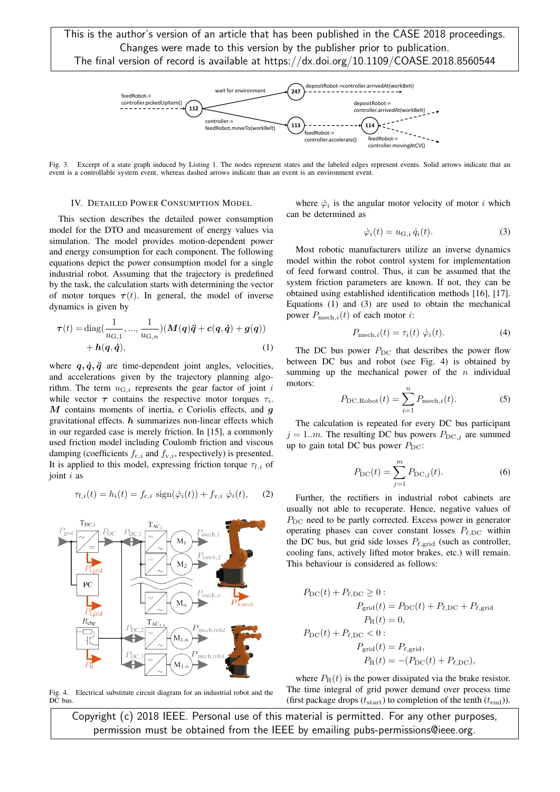

Fig. 3. Excerpt of a state graph induced by Listing 1. The nodes represent states and the labeled edges represent events. Solid arrows indicate that an event is a controllable system event, whereas dashed arrows indicate than an event is an environment event.

## IV. DETAILED POWER CONSUMPTION MODEL

This section describes the detailed power consumption model for the DTO and measurement of energy values via simulation. The model provides motion-dependent power and energy consumption for each component. The following equations depict the power consumption model for a single industrial robot. Assuming that the trajectory is predefined by the task, the calculation starts with determining the vector of motor torques  $\tau(t)$ . In general, the model of inverse dynamics is given by

$$
\tau(t) = \text{diag}(\frac{1}{u_{\text{G},1}}, ..., \frac{1}{u_{\text{G},n}})(M(q)\ddot{q} + c(q, \dot{q}) + g(q)) + h(q, \dot{q}),
$$
\n(1)

where  $q, \dot{q}, \ddot{q}$  are time-dependent joint angles, velocities, and accelerations given by the trajectory planning algorithm. The term  $u_{G,i}$  represents the gear factor of joint i while vector  $\tau$  contains the respective motor torques  $\tau_i$ .  $M$  contains moments of inertia,  $c$  Coriolis effects, and  $q$ gravitational effects.  $h$  summarizes non-linear effects which in our regarded case is merely friction. In [15], a commonly used friction model including Coulomb friction and viscous damping (coefficients  $f_{c,i}$  and  $f_{v,i}$ , respectively) is presented. It is applied to this model, expressing friction torque  $\tau_{f,i}$  of joint *i* as

$$
\tau_{\mathbf{f},i}(t) = h_i(t) = f_{\mathbf{c},i} \, \text{sign}(\dot{\varphi}_i(t)) + f_{\mathbf{v},i} \, \dot{\varphi}_i(t), \qquad (2)
$$



Fig. 4. Electrical substitute circuit diagram for an industrial robot and the DC bus.

where  $\dot{\varphi}_i$  is the angular motor velocity of motor i which can be determined as

$$
\dot{\varphi}_i(t) = u_{\mathcal{G},i} \, \dot{q}_i(t). \tag{3}
$$

Most robotic manufacturers utilize an inverse dynamics model within the robot control system for implementation of feed forward control. Thus, it can be assumed that the system friction parameters are known. If not, they can be obtained using established identification methods [16], [17]. Equations (1) and (3) are used to obtain the mechanical power  $P_{\text{mech},i}(t)$  of each motor *i*:

$$
P_{\text{mech},i}(t) = \tau_i(t) \dot{\varphi}_i(t). \tag{4}
$$

The DC bus power  $P_{\text{DC}}$  that describes the power flow between DC bus and robot (see Fig. 4) is obtained by summing up the mechanical power of the  $n$  individual motors:

$$
P_{\rm DC, Robot}(t) = \sum_{i=1}^{n} P_{\rm mech, i}(t). \tag{5}
$$

The calculation is repeated for every DC bus participant  $j = 1..m$ . The resulting DC bus powers  $P_{\text{DC},j}$  are summed up to gain total DC bus power  $P_{\text{DC}}$ :

$$
P_{\rm DC}(t) = \sum_{j=1}^{m} P_{\rm DC,j}(t).
$$
 (6)

Further, the rectifiers in industrial robot cabinets are usually not able to recuperate. Hence, negative values of  $P_{\rm DC}$  need to be partly corrected. Excess power in generator operating phases can cover constant losses  $P_{\ell,DC}$  within the DC bus, but grid side losses  $P_{\ell, \text{grid}}$  (such as controller, cooling fans, actively lifted motor brakes, etc.) will remain. This behaviour is considered as follows:

$$
P_{\rm DC}(t) + P_{\ell, \rm DC} \ge 0:
$$
  
\n
$$
P_{\rm grid}(t) = P_{\rm DC}(t) + P_{\ell, \rm DC} + P_{\ell, \rm grid}
$$
  
\n
$$
P_{\rm R}(t) = 0,
$$
  
\n
$$
P_{\rm DC}(t) + P_{\ell, \rm DC} < 0:
$$
  
\n
$$
P_{\rm grid}(t) = P_{\ell, \rm grid},
$$
  
\n
$$
P_{\rm R}(t) = -(P_{\rm DC}(t) + P_{\ell, \rm DC}),
$$

where  $P_{\rm R}(t)$  is the power dissipated via the brake resistor. The time integral of grid power demand over process time (first package drops  $(t_{\text{start}})$  to completion of the tenth  $(t_{\text{end}})$ ).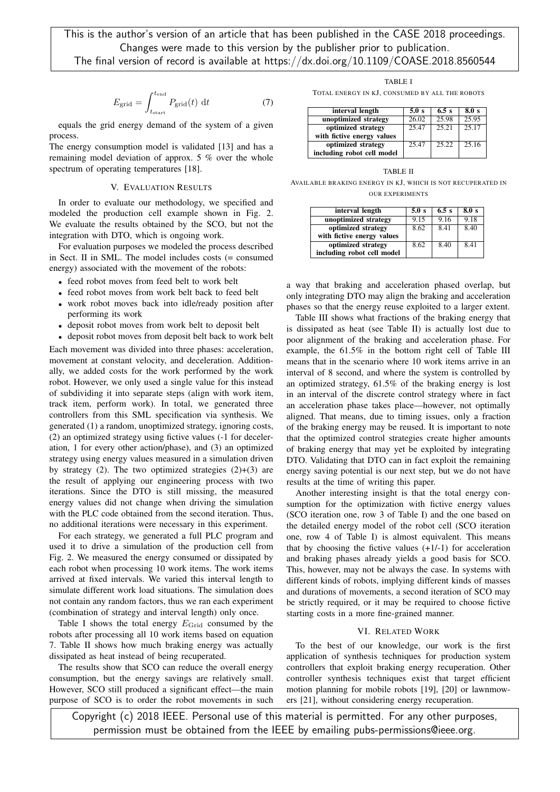$$
E_{\text{grid}} = \int_{t_{\text{start}}}^{t_{\text{end}}} P_{\text{grid}}(t) \, \mathrm{d}t \tag{7}
$$

equals the grid energy demand of the system of a given process.

The energy consumption model is validated [13] and has a remaining model deviation of approx. 5 % over the whole spectrum of operating temperatures [18].

# V. EVALUATION RESULTS

In order to evaluate our methodology, we specified and modeled the production cell example shown in Fig. 2. We evaluate the results obtained by the SCO, but not the integration with DTO, which is ongoing work.

For evaluation purposes we modeled the process described in Sect. II in SML. The model includes costs (= consumed energy) associated with the movement of the robots:

- feed robot moves from feed belt to work belt
- feed robot moves from work belt back to feed belt
- work robot moves back into idle/ready position after performing its work
- deposit robot moves from work belt to deposit belt
- deposit robot moves from deposit belt back to work belt

Each movement was divided into three phases: acceleration, movement at constant velocity, and deceleration. Additionally, we added costs for the work performed by the work robot. However, we only used a single value for this instead of subdividing it into separate steps (align with work item, track item, perform work). In total, we generated three controllers from this SML specification via synthesis. We generated (1) a random, unoptimized strategy, ignoring costs, (2) an optimized strategy using fictive values (-1 for deceleration, 1 for every other action/phase), and (3) an optimized strategy using energy values measured in a simulation driven by strategy (2). The two optimized strategies  $(2)+(3)$  are the result of applying our engineering process with two iterations. Since the DTO is still missing, the measured energy values did not change when driving the simulation with the PLC code obtained from the second iteration. Thus, no additional iterations were necessary in this experiment.

For each strategy, we generated a full PLC program and used it to drive a simulation of the production cell from Fig. 2. We measured the energy consumed or dissipated by each robot when processing 10 work items. The work items arrived at fixed intervals. We varied this interval length to simulate different work load situations. The simulation does not contain any random factors, thus we ran each experiment (combination of strategy and interval length) only once.

Table I shows the total energy  $E_{\text{Grid}}$  consumed by the robots after processing all 10 work items based on equation 7. Table II shows how much braking energy was actually dissipated as heat instead of being recuperated.

The results show that SCO can reduce the overall energy consumption, but the energy savings are relatively small. However, SCO still produced a significant effect—the main purpose of SCO is to order the robot movements in such

TABLE I

TOTAL ENERGY IN KJ, CONSUMED BY ALL THE ROBOTS

| interval length            | 5.0 s | 6.5s  | 8.0 s |
|----------------------------|-------|-------|-------|
| unoptimized strategy       | 26.02 | 25.98 | 25.95 |
| optimized strategy         | 25.47 | 25.21 | 25.17 |
| with fictive energy values |       |       |       |
| optimized strategy         | 25.47 | 25.22 | 25.16 |
| including robot cell model |       |       |       |

TABLE II AVAILABLE BRAKING ENERGY IN KJ, WHICH IS NOT RECUPERATED IN

OUR EXPERIMENTS

| interval length            | 5.0 s | 6.5s | 8.0 s |
|----------------------------|-------|------|-------|
| unoptimized strategy       | 9.15  | 9.16 | 9.18  |
| optimized strategy         | 8.62  | 8.41 | 8.40  |
| with fictive energy values |       |      |       |
| optimized strategy         | 8.62  | 8.40 | 841   |
| including robot cell model |       |      |       |

a way that braking and acceleration phased overlap, but only integrating DTO may align the braking and acceleration phases so that the energy reuse exploited to a larger extent.

Table III shows what fractions of the braking energy that is dissipated as heat (see Table II) is actually lost due to poor alignment of the braking and acceleration phase. For example, the 61.5% in the bottom right cell of Table III means that in the scenario where 10 work items arrive in an interval of 8 second, and where the system is controlled by an optimized strategy, 61.5% of the braking energy is lost in an interval of the discrete control strategy where in fact an acceleration phase takes place—however, not optimally aligned. That means, due to timing issues, only a fraction of the braking energy may be reused. It is important to note that the optimized control strategies create higher amounts of braking energy that may yet be exploited by integrating DTO. Validating that DTO can in fact exploit the remaining energy saving potential is our next step, but we do not have results at the time of writing this paper.

Another interesting insight is that the total energy consumption for the optimization with fictive energy values (SCO iteration one, row 3 of Table I) and the one based on the detailed energy model of the robot cell (SCO iteration one, row 4 of Table I) is almost equivalent. This means that by choosing the fictive values  $(+1/-1)$  for acceleration and braking phases already yields a good basis for SCO. This, however, may not be always the case. In systems with different kinds of robots, implying different kinds of masses and durations of movements, a second iteration of SCO may be strictly required, or it may be required to choose fictive starting costs in a more fine-grained manner.

# VI. RELATED WORK

To the best of our knowledge, our work is the first application of synthesis techniques for production system controllers that exploit braking energy recuperation. Other controller synthesis techniques exist that target efficient motion planning for mobile robots [19], [20] or lawnmowers [21], without considering energy recuperation.